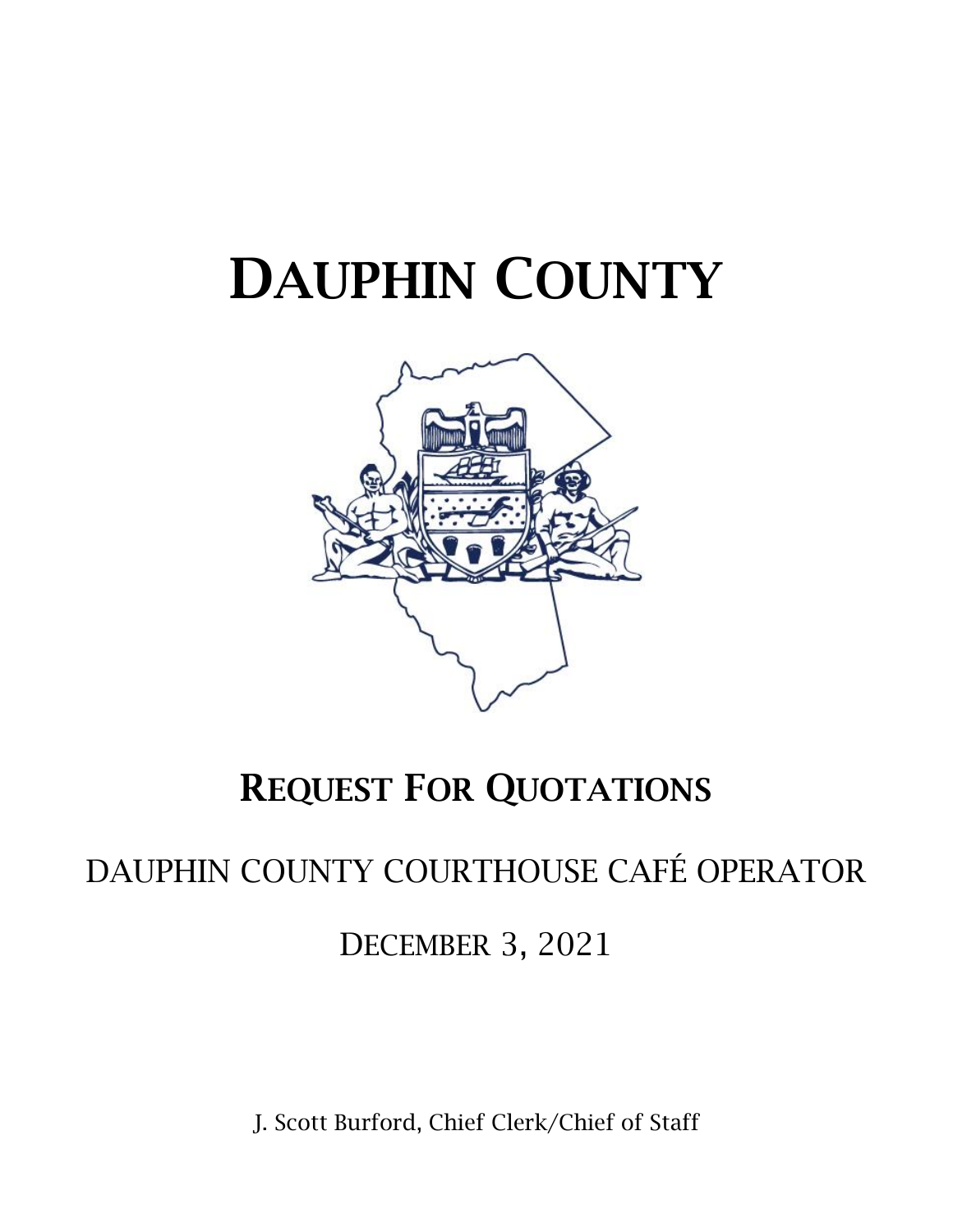# DAUPHIN COUNTY



## REQUEST FOR QUOTATIONS

### DAUPHIN COUNTY COURTHOUSE CAFÉ OPERATOR

DECEMBER 3, 2021

J. Scott Burford, Chief Clerk/Chief of Staff